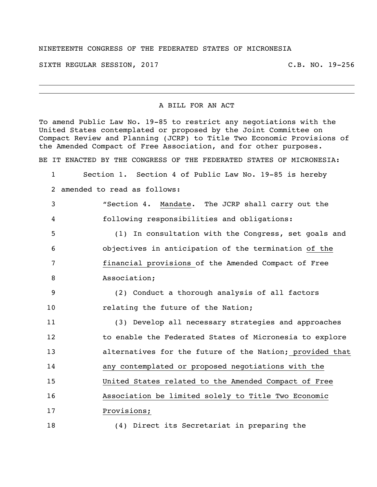## NINETEENTH CONGRESS OF THE FEDERATED STATES OF MICRONESIA

SIXTH REGULAR SESSION, 2017 THE REGULAR SESSION, 2017

## A BILL FOR AN ACT

To amend Public Law No. 19-85 to restrict any negotiations with the United States contemplated or proposed by the Joint Committee on Compact Review and Planning (JCRP) to Title Two Economic Provisions of the Amended Compact of Free Association, and for other purposes.

BE IT ENACTED BY THE CONGRESS OF THE FEDERATED STATES OF MICRONESIA:

 Section 1. Section 4 of Public Law No. 19-85 is hereby amended to read as follows:

 "Section 4. Mandate. The JCRP shall carry out the following responsibilities and obligations:

 (1) In consultation with the Congress, set goals and objectives in anticipation of the termination of the financial provisions of the Amended Compact of Free Association;

 (2) Conduct a thorough analysis of all factors 10 relating the future of the Nation;

 (3) Develop all necessary strategies and approaches to enable the Federated States of Micronesia to explore alternatives for the future of the Nation; provided that any contemplated or proposed negotiations with the United States related to the Amended Compact of Free Association be limited solely to Title Two Economic Provisions;

(4) Direct its Secretariat in preparing the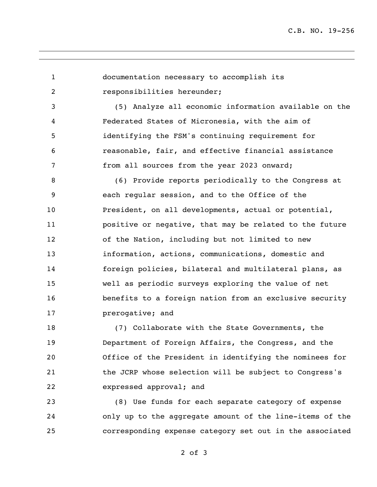documentation necessary to accomplish its responsibilities hereunder; (5) Analyze all economic information available on the Federated States of Micronesia, with the aim of identifying the FSM's continuing requirement for reasonable, fair, and effective financial assistance from all sources from the year 2023 onward; (6) Provide reports periodically to the Congress at each regular session, and to the Office of the President, on all developments, actual or potential, positive or negative, that may be related to the future of the Nation, including but not limited to new information, actions, communications, domestic and foreign policies, bilateral and multilateral plans, as well as periodic surveys exploring the value of net benefits to a foreign nation from an exclusive security **prerogative; and** 

18 (7) Collaborate with the State Governments, the Department of Foreign Affairs, the Congress, and the Office of the President in identifying the nominees for the JCRP whose selection will be subject to Congress's expressed approval; and

 (8) Use funds for each separate category of expense only up to the aggregate amount of the line-items of the corresponding expense category set out in the associated